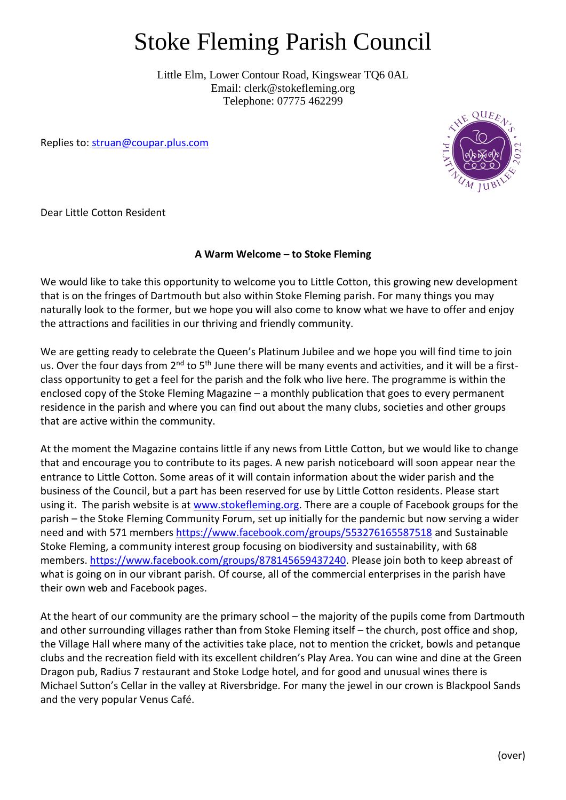## Stoke Fleming Parish Council

Little Elm, Lower Contour Road, Kingswear TQ6 0AL Email: clerk@stokefleming.org Telephone: 07775 462299

Replies to: [struan@coupar.plus.com](mailto:struan@coupar.plus.com)



Dear Little Cotton Resident

## **A Warm Welcome – to Stoke Fleming**

We would like to take this opportunity to welcome you to Little Cotton, this growing new development that is on the fringes of Dartmouth but also within Stoke Fleming parish. For many things you may naturally look to the former, but we hope you will also come to know what we have to offer and enjoy the attractions and facilities in our thriving and friendly community.

We are getting ready to celebrate the Queen's Platinum Jubilee and we hope you will find time to join us. Over the four days from 2<sup>nd</sup> to 5<sup>th</sup> June there will be many events and activities, and it will be a firstclass opportunity to get a feel for the parish and the folk who live here. The programme is within the enclosed copy of the Stoke Fleming Magazine – a monthly publication that goes to every permanent residence in the parish and where you can find out about the many clubs, societies and other groups that are active within the community.

At the moment the Magazine contains little if any news from Little Cotton, but we would like to change that and encourage you to contribute to its pages. A new parish noticeboard will soon appear near the entrance to Little Cotton. Some areas of it will contain information about the wider parish and the business of the Council, but a part has been reserved for use by Little Cotton residents. Please start using it. The parish website is at [www.stokefleming.org.](http://www.stokefleming.org/) There are a couple of Facebook groups for the parish – the Stoke Fleming Community Forum, set up initially for the pandemic but now serving a wider need and with 571 members<https://www.facebook.com/groups/553276165587518> and Sustainable Stoke Fleming, a community interest group focusing on biodiversity and sustainability, with 68 members. [https://www.facebook.com/groups/878145659437240.](https://www.facebook.com/groups/878145659437240) Please join both to keep abreast of what is going on in our vibrant parish. Of course, all of the commercial enterprises in the parish have their own web and Facebook pages.

At the heart of our community are the primary school – the majority of the pupils come from Dartmouth and other surrounding villages rather than from Stoke Fleming itself – the church, post office and shop, the Village Hall where many of the activities take place, not to mention the cricket, bowls and petanque clubs and the recreation field with its excellent children's Play Area. You can wine and dine at the Green Dragon pub, Radius 7 restaurant and Stoke Lodge hotel, and for good and unusual wines there is Michael Sutton's Cellar in the valley at Riversbridge. For many the jewel in our crown is Blackpool Sands and the very popular Venus Café.